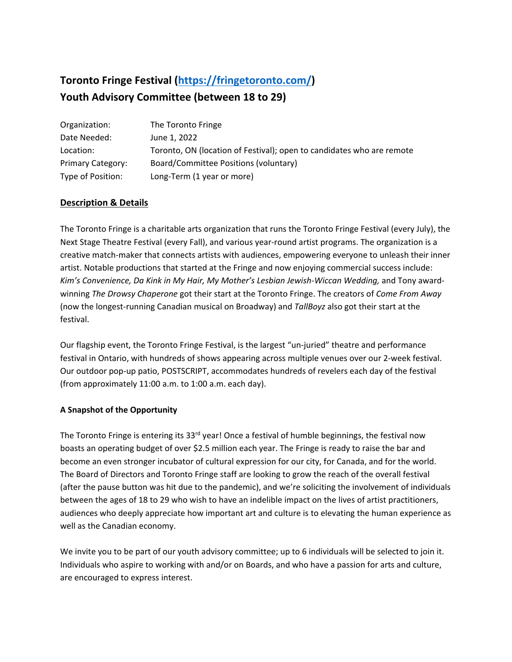# **Toronto Fringe Festival [\(https://fringetoronto.com/\)](https://fringetoronto.com/) Youth Advisory Committee (between 18 to 29)**

| Organization:            | The Toronto Fringe                                                    |
|--------------------------|-----------------------------------------------------------------------|
| Date Needed:             | June 1, 2022                                                          |
| Location:                | Toronto, ON (location of Festival); open to candidates who are remote |
| <b>Primary Category:</b> | Board/Committee Positions (voluntary)                                 |
| Type of Position:        | Long-Term (1 year or more)                                            |

# **Description & Details**

The Toronto Fringe is a charitable arts organization that runs the Toronto Fringe Festival (every July), the Next Stage Theatre Festival (every Fall), and various year-round artist programs. The organization is a creative match-maker that connects artists with audiences, empowering everyone to unleash their inner artist. Notable productions that started at the Fringe and now enjoying commercial success include: Kim's Convenience, Da Kink in My Hair, My Mother's Lesbian Jewish-Wiccan Wedding, and Tony awardwinning *The Drowsy Chaperone* got their start at the Toronto Fringe. The creators of *Come From Away*  (now the longest-running Canadian musical on Broadway) and *TallBoyz* also got their start at the festival.

Our flagship event, the Toronto Fringe Festival, is the largest "un-juried" theatre and performance festival in Ontario, with hundreds of shows appearing across multiple venues over our 2-week festival. Our outdoor pop-up patio, POSTSCRIPT, accommodates hundreds of revelers each day of the festival (from approximately 11:00 a.m. to 1:00 a.m. each day).

#### **A Snapshot of the Opportunity**

The Toronto Fringe is entering its 33<sup>rd</sup> year! Once a festival of humble beginnings, the festival now boasts an operating budget of over \$2.5 million each year. The Fringe is ready to raise the bar and become an even stronger incubator of cultural expression for our city, for Canada, and for the world. The Board of Directors and Toronto Fringe staff are looking to grow the reach of the overall festival (after the pause button was hit due to the pandemic), and we're soliciting the involvement of individuals between the ages of 18 to 29 who wish to have an indelible impact on the lives of artist practitioners, audiences who deeply appreciate how important art and culture is to elevating the human experience as well as the Canadian economy.

We invite you to be part of our youth advisory committee; up to 6 individuals will be selected to join it. Individuals who aspire to working with and/or on Boards, and who have a passion for arts and culture, are encouraged to express interest.